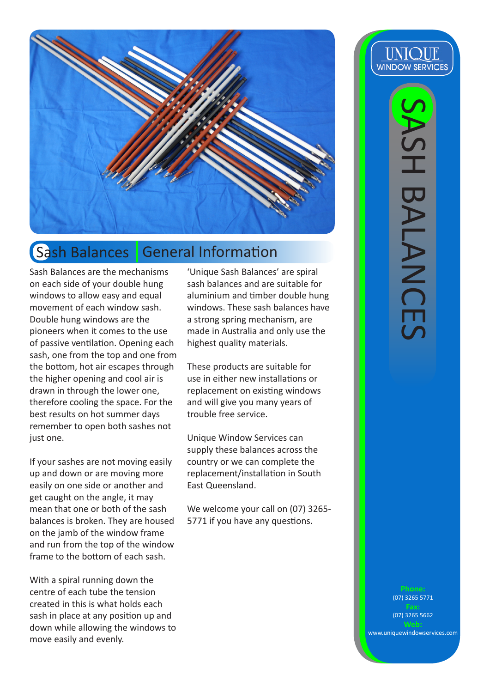

#### **Sash Balances** General Information

Sash Balances are the mechanisms on each side of your double hung windows to allow easy and equal movement of each window sash. Double hung windows are the pioneers when it comes to the use of passive ventilation. Opening each sash, one from the top and one from the bottom, hot air escapes through the higher opening and cool air is drawn in through the lower one, therefore cooling the space. For the best results on hot summer days remember to open both sashes not just one.

If your sashes are not moving easily up and down or are moving more easily on one side or another and get caught on the angle, it may mean that one or both of the sash balances is broken. They are housed on the jamb of the window frame and run from the top of the window frame to the bottom of each sash.

With a spiral running down the centre of each tube the tension created in this is what holds each sash in place at any position up and down while allowing the windows to move easily and evenly.

'Unique Sash Balances' are spiral sash balances and are suitable for aluminium and timber double hung windows. These sash balances have a strong spring mechanism, are made in Australia and only use the highest quality materials.

These products are suitable for use in either new installations or replacement on existing windows and will give you many years of trouble free service.

Unique Window Services can supply these balances across the country or we can complete the replacement/installation in South East Queensland.

We welcome your call on (07) 3265- 5771 if you have any questions.

**UNIQUE WINDOW SERVICES** 

(07) 3265 5771

(07) 3265 5662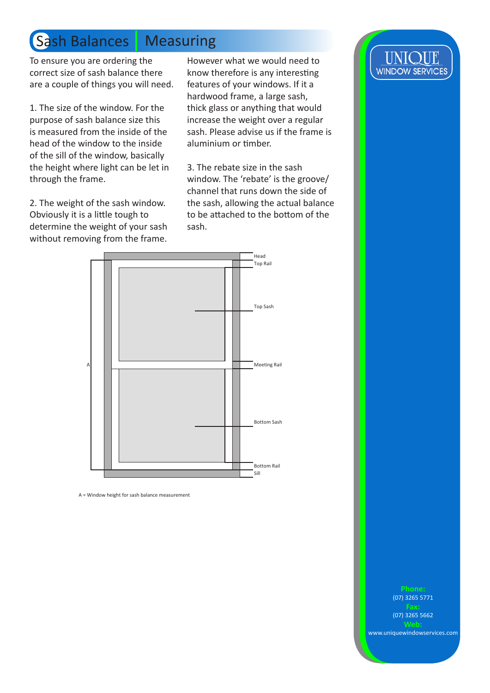## **Sash Balances Measuring**

To ensure you are ordering the correct size of sash balance there are a couple of things you will need.

1. The size of the window. For the purpose of sash balance size this is measured from the inside of the head of the window to the inside of the sill of the window, basically the height where light can be let in through the frame.

2. The weight of the sash window. Obviously it is a little tough to determine the weight of your sash without removing from the frame.

However what we would need to know therefore is any interesting features of your windows. If it a hardwood frame, a large sash, thick glass or anything that would increase the weight over a regular sash. Please advise us if the frame is aluminium or timber.

3. The rebate size in the sash window. The 'rebate' is the groove/ channel that runs down the side of the sash, allowing the actual balance to be attached to the bottom of the sash.



A = Window height for sash balance measurement



(07) 3265 5771

**Fax:** (07) 3265 5662

www.uniquewindowservices.com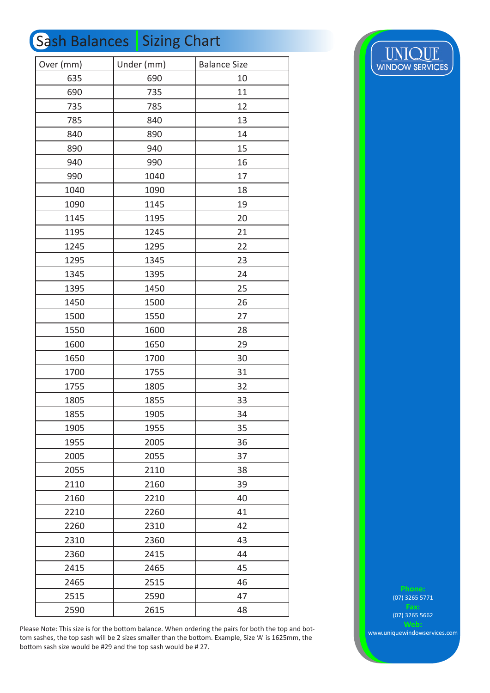#### Sash Balances Sizing Chart

| Over (mm) | Under (mm) | <b>Balance Size</b> |
|-----------|------------|---------------------|
| 635       | 690        | 10                  |
| 690       | 735        | 11                  |
| 735       | 785        | 12                  |
| 785       | 840        | 13                  |
| 840       | 890        | 14                  |
| 890       | 940        | 15                  |
| 940       | 990        | 16                  |
| 990       | 1040       | 17                  |
| 1040      | 1090       | 18                  |
| 1090      | 1145       | 19                  |
| 1145      | 1195       | 20                  |
| 1195      | 1245       | 21                  |
| 1245      | 1295       | 22                  |
| 1295      | 1345       | 23                  |
| 1345      | 1395       | 24                  |
| 1395      | 1450       | 25                  |
| 1450      | 1500       | 26                  |
| 1500      | 1550       | 27                  |
| 1550      | 1600       | 28                  |
| 1600      | 1650       | 29                  |
| 1650      | 1700       | 30                  |
| 1700      | 1755       | 31                  |
| 1755      | 1805       | 32                  |
| 1805      | 1855       | 33                  |
| 1855      | 1905       | 34                  |
| 1905      | 1955       | 35                  |
| 1955      | 2005       | 36                  |
| 2005      | 2055       | 37                  |
| 2055      | 2110       | 38                  |
| 2110      | 2160       | 39                  |
| 2160      | 2210       | 40                  |
| 2210      | 2260       | 41                  |
| 2260      | 2310       | 42                  |
| 2310      | 2360       | 43                  |
| 2360      | 2415       | 44                  |
| 2415      | 2465       | 45                  |
| 2465      | 2515       | 46                  |
| 2515      | 2590       | 47                  |
| 2590      | 2615       | 48                  |

**UNIQUE**<br>WINDOW SERVICES

Please Note: This size is for the bottom balance. When ordering the pairs for both the top and bottom sashes, the top sash will be 2 sizes smaller than the bottom. Example, Size 'A' is 1625mm, the bottom sash size would be #29 and the top sash would be # 27.

(07) 3265 5771

(07) 3265 5662

www.uniquewindowservices.com